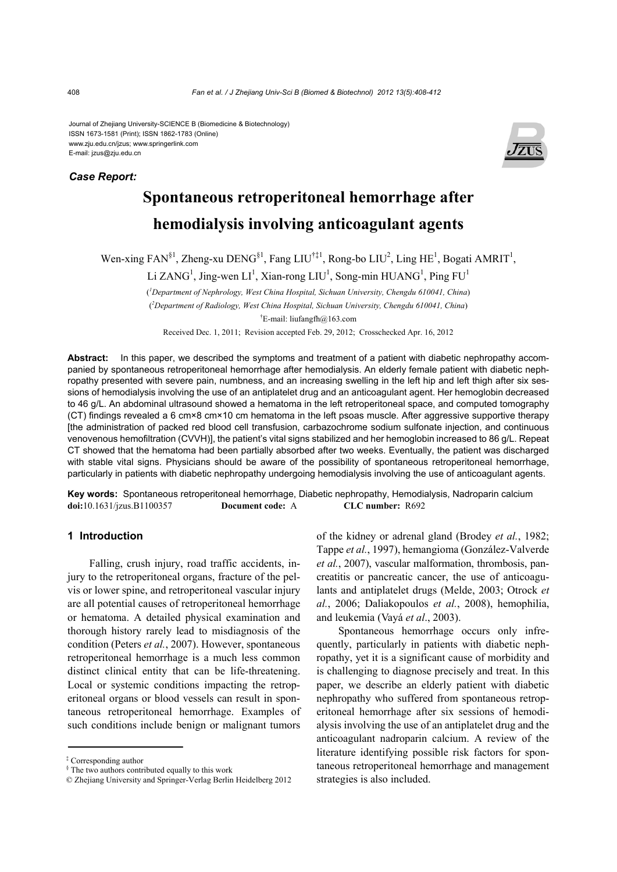Journal of Zhejiang University-SCIENCE B (Biomedicine & Biotechnology) ISSN 1673-1581 (Print); ISSN 1862-1783 (Online) www.zju.edu.cn/jzus; www.springerlink.com E-mail: jzus@zju.edu.cn

#### *Case Report:*



# **Spontaneous retroperitoneal hemorrhage after hemodialysis involving anticoagulant agents**

Wen-xing FAN<sup>§1</sup>, Zheng-xu DENG<sup>§1</sup>, Fang LIU<sup>†‡1</sup>, Rong-bo LIU<sup>2</sup>, Ling HE<sup>1</sup>, Bogati AMRIT<sup>1</sup>,

Li ZANG<sup>1</sup>, Jing-wen LI<sup>1</sup>, Xian-rong LIU<sup>1</sup>, Song-min HUANG<sup>1</sup>, Ping FU<sup>1</sup>

( *1 Department of Nephrology, West China Hospital, Sichuan University, Chengdu 610041, China*) ( *2 Department of Radiology, West China Hospital, Sichuan University, Chengdu 610041, China*) † E-mail: liufangfh@163.com

Received Dec. 1, 2011; Revision accepted Feb. 29, 2012; Crosschecked Apr. 16, 2012

**Abstract:** In this paper, we described the symptoms and treatment of a patient with diabetic nephropathy accompanied by spontaneous retroperitoneal hemorrhage after hemodialysis. An elderly female patient with diabetic nephropathy presented with severe pain, numbness, and an increasing swelling in the left hip and left thigh after six sessions of hemodialysis involving the use of an antiplatelet drug and an anticoagulant agent. Her hemoglobin decreased to 46 g/L. An abdominal ultrasound showed a hematoma in the left retroperitoneal space, and computed tomography (CT) findings revealed a 6 cm×8 cm×10 cm hematoma in the left psoas muscle. After aggressive supportive therapy [the administration of packed red blood cell transfusion, carbazochrome sodium sulfonate injection, and continuous venovenous hemofiltration (CVVH)], the patient's vital signs stabilized and her hemoglobin increased to 86 g/L. Repeat CT showed that the hematoma had been partially absorbed after two weeks. Eventually, the patient was discharged with stable vital signs. Physicians should be aware of the possibility of spontaneous retroperitoneal hemorrhage, particularly in patients with diabetic nephropathy undergoing hemodialysis involving the use of anticoagulant agents.

**Key words:** Spontaneous retroperitoneal hemorrhage, Diabetic nephropathy, Hemodialysis, Nadroparin calcium **doi:**10.1631/jzus.B1100357 **Document code:** A **CLC number:** R692

## **1 Introduction**

Falling, crush injury, road traffic accidents, injury to the retroperitoneal organs, fracture of the pelvis or lower spine, and retroperitoneal vascular injury are all potential causes of retroperitoneal hemorrhage or hematoma. A detailed physical examination and thorough history rarely lead to misdiagnosis of the condition (Peters *et al.*, 2007). However, spontaneous retroperitoneal hemorrhage is a much less common distinct clinical entity that can be life-threatening. Local or systemic conditions impacting the retroperitoneal organs or blood vessels can result in spontaneous retroperitoneal hemorrhage. Examples of such conditions include benign or malignant tumors

of the kidney or adrenal gland (Brodey *et al.*, 1982; Tappe *et al.*, 1997), hemangioma (González-Valverde *et al.*, 2007), vascular malformation, thrombosis, pancreatitis or pancreatic cancer, the use of anticoagulants and antiplatelet drugs (Melde, 2003; Otrock *et al.*, 2006; Daliakopoulos *et al.*, 2008), hemophilia, and leukemia (Vayá *et al*., 2003).

Spontaneous hemorrhage occurs only infrequently, particularly in patients with diabetic nephropathy, yet it is a significant cause of morbidity and is challenging to diagnose precisely and treat. In this paper, we describe an elderly patient with diabetic nephropathy who suffered from spontaneous retroperitoneal hemorrhage after six sessions of hemodialysis involving the use of an antiplatelet drug and the anticoagulant nadroparin calcium. A review of the literature identifying possible risk factors for spontaneous retroperitoneal hemorrhage and management strategies is also included.

<sup>‡</sup> Corresponding author

<sup>§</sup> The two authors contributed equally to this work

<sup>©</sup> Zhejiang University and Springer-Verlag Berlin Heidelberg 2012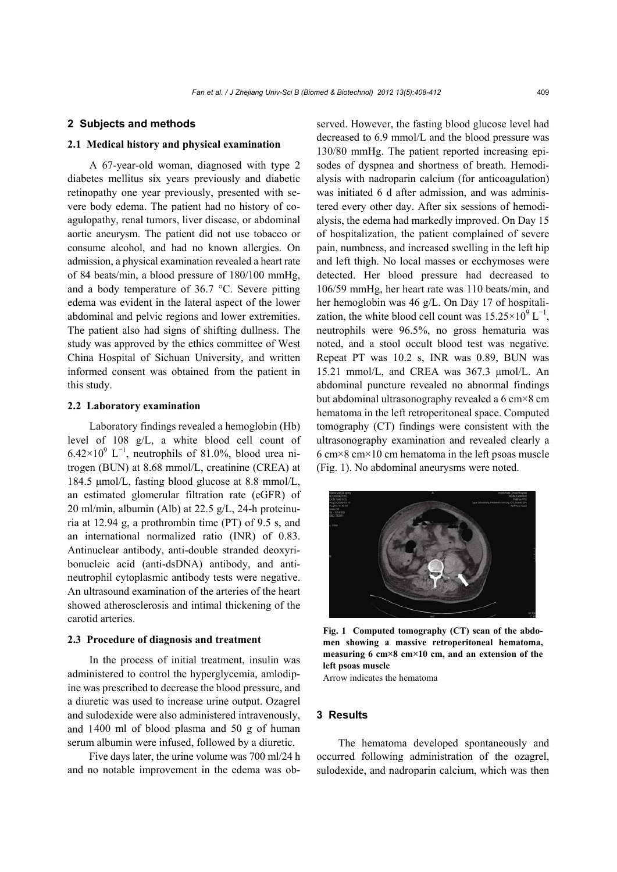### **2 Subjects and methods**

## **2.1 Medical history and physical examination**

A 67-year-old woman, diagnosed with type 2 diabetes mellitus six years previously and diabetic retinopathy one year previously, presented with severe body edema. The patient had no history of coagulopathy, renal tumors, liver disease, or abdominal aortic aneurysm. The patient did not use tobacco or consume alcohol, and had no known allergies. On admission, a physical examination revealed a heart rate of 84 beats/min, a blood pressure of 180/100 mmHg, and a body temperature of 36.7 °C. Severe pitting edema was evident in the lateral aspect of the lower abdominal and pelvic regions and lower extremities. The patient also had signs of shifting dullness. The study was approved by the ethics committee of West China Hospital of Sichuan University, and written informed consent was obtained from the patient in this study.

### **2.2 Laboratory examination**

Laboratory findings revealed a hemoglobin (Hb) level of 108 g/L, a white blood cell count of  $6.42\times10^{9}$  L<sup>-1</sup>, neutrophils of 81.0%, blood urea nitrogen (BUN) at 8.68 mmol/L, creatinine (CREA) at 184.5 μmol/L, fasting blood glucose at 8.8 mmol/L, an estimated glomerular filtration rate (eGFR) of 20 ml/min, albumin (Alb) at 22.5 g/L, 24-h proteinuria at 12.94 g, a prothrombin time (PT) of 9.5 s, and an international normalized ratio (INR) of 0.83. Antinuclear antibody, anti-double stranded deoxyribonucleic acid (anti-dsDNA) antibody, and antineutrophil cytoplasmic antibody tests were negative. An ultrasound examination of the arteries of the heart showed atherosclerosis and intimal thickening of the carotid arteries.

### **2.3 Procedure of diagnosis and treatment**

In the process of initial treatment, insulin was administered to control the hyperglycemia, amlodipine was prescribed to decrease the blood pressure, and a diuretic was used to increase urine output. Ozagrel and sulodexide were also administered intravenously, and 1400 ml of blood plasma and 50 g of human serum albumin were infused, followed by a diuretic.

Five days later, the urine volume was 700 ml/24 h and no notable improvement in the edema was observed. However, the fasting blood glucose level had decreased to 6.9 mmol/L and the blood pressure was 130/80 mmHg. The patient reported increasing episodes of dyspnea and shortness of breath. Hemodialysis with nadroparin calcium (for anticoagulation) was initiated 6 d after admission, and was administered every other day. After six sessions of hemodialysis, the edema had markedly improved. On Day 15 of hospitalization, the patient complained of severe pain, numbness, and increased swelling in the left hip and left thigh. No local masses or ecchymoses were detected. Her blood pressure had decreased to 106/59 mmHg, her heart rate was 110 beats/min, and her hemoglobin was 46 g/L. On Day 17 of hospitalization, the white blood cell count was  $15.25 \times 10^9$  L<sup>-1</sup>, neutrophils were 96.5%, no gross hematuria was noted, and a stool occult blood test was negative. Repeat PT was 10.2 s, INR was 0.89, BUN was 15.21 mmol/L, and CREA was 367.3 μmol/L. An abdominal puncture revealed no abnormal findings but abdominal ultrasonography revealed a 6 cm×8 cm hematoma in the left retroperitoneal space. Computed tomography (CT) findings were consistent with the ultrasonography examination and revealed clearly a 6 cm×8 cm×10 cm hematoma in the left psoas muscle (Fig. 1). No abdominal aneurysms were noted.



**Fig. 1 Computed tomography (CT) scan of the abdomen showing a massive retroperitoneal hematoma, measuring 6 cm×8 cm×10 cm, and an extension of the left psoas muscle** 

Arrow indicates the hematoma

#### **3 Results**

The hematoma developed spontaneously and occurred following administration of the ozagrel, sulodexide, and nadroparin calcium, which was then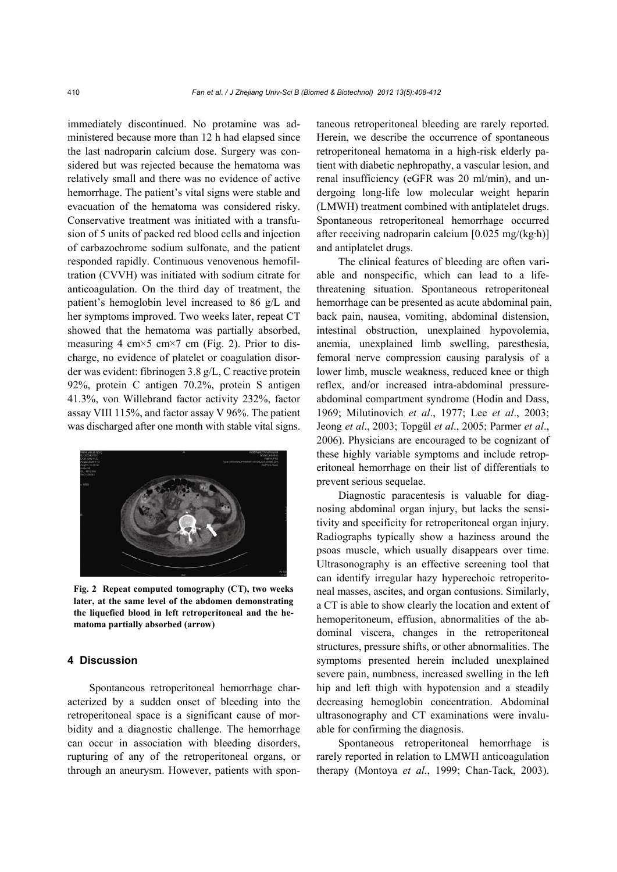immediately discontinued. No protamine was administered because more than 12 h had elapsed since the last nadroparin calcium dose. Surgery was considered but was rejected because the hematoma was relatively small and there was no evidence of active hemorrhage. The patient's vital signs were stable and evacuation of the hematoma was considered risky. Conservative treatment was initiated with a transfusion of 5 units of packed red blood cells and injection of carbazochrome sodium sulfonate, and the patient responded rapidly. Continuous venovenous hemofiltration (CVVH) was initiated with sodium citrate for anticoagulation. On the third day of treatment, the patient's hemoglobin level increased to 86 g/L and her symptoms improved. Two weeks later, repeat CT showed that the hematoma was partially absorbed, measuring 4 cm $\times$ 5 cm $\times$ 7 cm (Fig. 2). Prior to discharge, no evidence of platelet or coagulation disorder was evident: fibrinogen 3.8 g/L, C reactive protein 92%, protein C antigen 70.2%, protein S antigen 41.3%, von Willebrand factor activity 232%, factor assay VIII 115%, and factor assay V 96%. The patient was discharged after one month with stable vital signs.



**Fig. 2 Repeat computed tomography (CT), two weeks later, at the same level of the abdomen demonstrating the liquefied blood in left retroperitoneal and the hematoma partially absorbed (arrow)** 

## **4 Discussion**

Spontaneous retroperitoneal hemorrhage characterized by a sudden onset of bleeding into the retroperitoneal space is a significant cause of morbidity and a diagnostic challenge. The hemorrhage can occur in association with bleeding disorders, rupturing of any of the retroperitoneal organs, or through an aneurysm. However, patients with spontaneous retroperitoneal bleeding are rarely reported. Herein, we describe the occurrence of spontaneous retroperitoneal hematoma in a high-risk elderly patient with diabetic nephropathy, a vascular lesion, and renal insufficiency (eGFR was 20 ml/min), and undergoing long-life low molecular weight heparin (LMWH) treatment combined with antiplatelet drugs. Spontaneous retroperitoneal hemorrhage occurred after receiving nadroparin calcium [0.025 mg/(kg·h)] and antiplatelet drugs.

The clinical features of bleeding are often variable and nonspecific, which can lead to a lifethreatening situation. Spontaneous retroperitoneal hemorrhage can be presented as acute abdominal pain, back pain, nausea, vomiting, abdominal distension, intestinal obstruction, unexplained hypovolemia, anemia, unexplained limb swelling, paresthesia, femoral nerve compression causing paralysis of a lower limb, muscle weakness, reduced knee or thigh reflex, and/or increased intra-abdominal pressureabdominal compartment syndrome (Hodin and Dass, 1969; Milutinovich *et al*., 1977; Lee *et al*., 2003; Jeong *et al*., 2003; Topgül *et al*., 2005; Parmer *et al*., 2006). Physicians are encouraged to be cognizant of these highly variable symptoms and include retroperitoneal hemorrhage on their list of differentials to prevent serious sequelae.

Diagnostic paracentesis is valuable for diagnosing abdominal organ injury, but lacks the sensitivity and specificity for retroperitoneal organ injury. Radiographs typically show a haziness around the psoas muscle, which usually disappears over time. Ultrasonography is an effective screening tool that can identify irregular hazy hyperechoic retroperitoneal masses, ascites, and organ contusions. Similarly, a CT is able to show clearly the location and extent of hemoperitoneum, effusion, abnormalities of the abdominal viscera, changes in the retroperitoneal structures, pressure shifts, or other abnormalities. The symptoms presented herein included unexplained severe pain, numbness, increased swelling in the left hip and left thigh with hypotension and a steadily decreasing hemoglobin concentration. Abdominal ultrasonography and CT examinations were invaluable for confirming the diagnosis.

Spontaneous retroperitoneal hemorrhage is rarely reported in relation to LMWH anticoagulation therapy (Montoya *et al.*, 1999; Chan-Tack, 2003).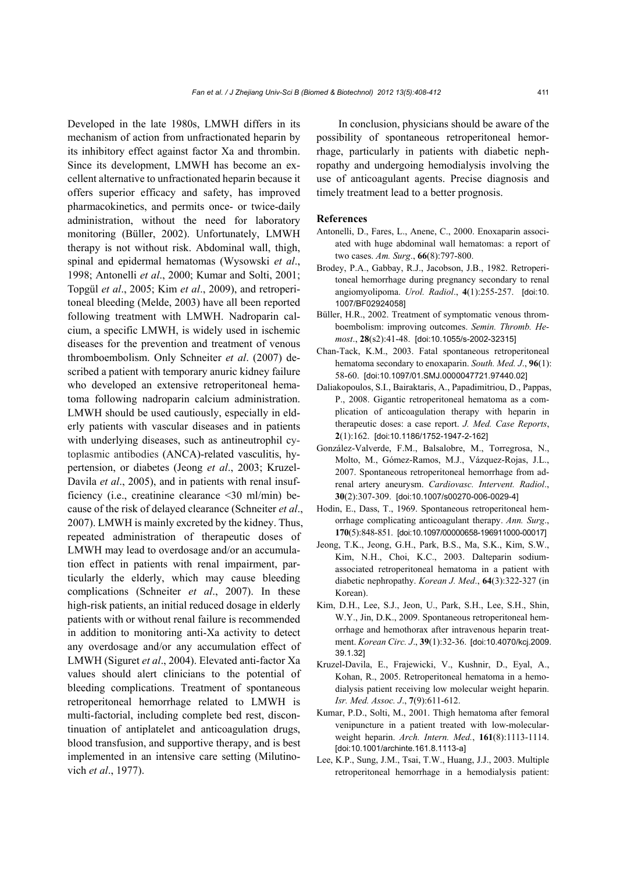Developed in the late 1980s, LMWH differs in its mechanism of action from unfractionated heparin by its inhibitory effect against factor Xa and thrombin. Since its development, LMWH has become an excellent alternative to unfractionated heparin because it offers superior efficacy and safety, has improved pharmacokinetics, and permits once- or twice-daily administration, without the need for laboratory monitoring (Büller, 2002). Unfortunately, LMWH therapy is not without risk. Abdominal wall, thigh, spinal and epidermal hematomas (Wysowski *et al*., 1998; Antonelli *et al*., 2000; Kumar and Solti, 2001; Topgül *et al*., 2005; Kim *et al*., 2009), and retroperitoneal bleeding (Melde, 2003) have all been reported following treatment with LMWH. Nadroparin calcium, a specific LMWH, is widely used in ischemic diseases for the prevention and treatment of venous thromboembolism. Only Schneiter *et al*. (2007) described a patient with temporary anuric kidney failure who developed an extensive retroperitoneal hematoma following nadroparin calcium administration. LMWH should be used cautiously, especially in elderly patients with vascular diseases and in patients with underlying diseases, such as antineutrophil cytoplasmic antibodies (ANCA)-related vasculitis, hypertension, or diabetes (Jeong *et al*., 2003; Kruzel-Davila *et al.*, 2005), and in patients with renal insufficiency (i.e., creatinine clearance <30 ml/min) because of the risk of delayed clearance (Schneiter *et al*., 2007). LMWH is mainly excreted by the kidney. Thus, repeated administration of therapeutic doses of LMWH may lead to overdosage and/or an accumulation effect in patients with renal impairment, particularly the elderly, which may cause bleeding complications (Schneiter *et al*., 2007). In these high-risk patients, an initial reduced dosage in elderly patients with or without renal failure is recommended in addition to monitoring anti-Xa activity to detect any overdosage and/or any accumulation effect of LMWH (Siguret *et al*., 2004). Elevated anti-factor Xa values should alert clinicians to the potential of bleeding complications. Treatment of spontaneous retroperitoneal hemorrhage related to LMWH is multi-factorial, including complete bed rest, discontinuation of antiplatelet and anticoagulation drugs, blood transfusion, and supportive therapy, and is best implemented in an intensive care setting (Milutinovich *et al*., 1977).

In conclusion, physicians should be aware of the possibility of spontaneous retroperitoneal hemorrhage, particularly in patients with diabetic nephropathy and undergoing hemodialysis involving the use of anticoagulant agents. Precise diagnosis and timely treatment lead to a better prognosis.

#### **References**

- Antonelli, D., Fares, L., Anene, C., 2000. Enoxaparin associated with huge abdominal wall hematomas: a report of two cases. *Am. Surg*., **66**(8):797-800.
- Brodey, P.A., Gabbay, R.J., Jacobson, J.B., 1982. Retroperitoneal hemorrhage during pregnancy secondary to renal angiomyolipoma. *Urol. Radiol*., **4**(1):255-257. [doi:10. 1007/BF02924058]
- Büller, H.R., 2002. Treatment of symptomatic venous thromboembolism: improving outcomes. *Semin. Thromb. Hemost*., **28**(s2):41-48. [doi:10.1055/s-2002-32315]
- Chan-Tack, K.M., 2003. Fatal spontaneous retroperitoneal hematoma secondary to enoxaparin. *South. Med. J*., **96**(1): 58-60. [doi:10.1097/01.SMJ.0000047721.97440.02]
- Daliakopoulos, S.I., Bairaktaris, A., Papadimitriou, D., Pappas, P., 2008. Gigantic retroperitoneal hematoma as a complication of anticoagulation therapy with heparin in therapeutic doses: a case report. *J. Med. Case Reports*, **2**(1):162. [doi:10.1186/1752-1947-2-162]
- González-Valverde, F.M., Balsalobre, M., Torregrosa, N., Molto, M., Gómez-Ramos, M.J., Vázquez-Rojas, J.L., 2007. Spontaneous retroperitoneal hemorrhage from adrenal artery aneurysm. *Cardiovasc. Intervent. Radiol*., **30**(2):307-309. [doi:10.1007/s00270-006-0029-4]
- Hodin, E., Dass, T., 1969. Spontaneous retroperitoneal hemorrhage complicating anticoagulant therapy. *Ann. Surg*., **170**(5):848-851. [doi:10.1097/00000658-196911000-00017]
- Jeong, T.K., Jeong, G.H., Park, B.S., Ma, S.K., Kim, S.W., Kim, N.H., Choi, K.C., 2003. Dalteparin sodiumassociated retroperitoneal hematoma in a patient with diabetic nephropathy. *Korean J. Med*., **64**(3):322-327 (in Korean).
- Kim, D.H., Lee, S.J., Jeon, U., Park, S.H., Lee, S.H., Shin, W.Y., Jin, D.K., 2009. Spontaneous retroperitoneal hemorrhage and hemothorax after intravenous heparin treatment. *Korean Circ. J*., **39**(1):32-36. [doi:10.4070/kcj.2009. 39.1.32]
- Kruzel-Davila, E., Frajewicki, V., Kushnir, D., Eyal, A., Kohan, R., 2005. Retroperitoneal hematoma in a hemodialysis patient receiving low molecular weight heparin. *Isr. Med. Assoc. J*., **7**(9):611-612.
- Kumar, P.D., Solti, M., 2001. Thigh hematoma after femoral venipuncture in a patient treated with low-molecularweight heparin. *Arch. Intern. Med.*, **161**(8):1113-1114. [doi:10.1001/archinte.161.8.1113-a]
- Lee, K.P., Sung, J.M., Tsai, T.W., Huang, J.J., 2003. Multiple retroperitoneal hemorrhage in a hemodialysis patient: